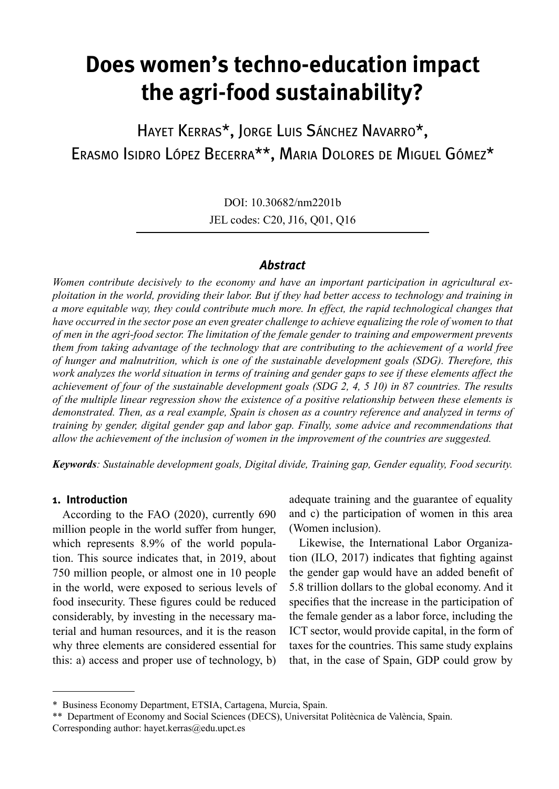# **Does women's techno-education impact the agri-food sustainability?**

Hayet Kerras\*, Jorge Luis Sánchez Navarro\*, Erasmo Isidro López Becerra\*\*, Maria Dolores de Miguel Gómez\*

> DOI: 10.30682/nm2201b JEL codes: C20, J16, Q01, Q16

## *Abstract*

*Women contribute decisively to the economy and have an important participation in agricultural exploitation in the world, providing their labor. But if they had better access to technology and training in a more equitable way, they could contribute much more. In effect, the rapid technological changes that have occurred in the sector pose an even greater challenge to achieve equalizing the role of women to that of men in the agri-food sector. The limitation of the female gender to training and empowerment prevents them from taking advantage of the technology that are contributing to the achievement of a world free of hunger and malnutrition, which is one of the sustainable development goals (SDG). Therefore, this work analyzes the world situation in terms of training and gender gaps to see if these elements affect the achievement of four of the sustainable development goals (SDG 2, 4, 5 10) in 87 countries. The results of the multiple linear regression show the existence of a positive relationship between these elements is demonstrated. Then, as a real example, Spain is chosen as a country reference and analyzed in terms of training by gender, digital gender gap and labor gap. Finally, some advice and recommendations that allow the achievement of the inclusion of women in the improvement of the countries are suggested.*

*Keywords: Sustainable development goals, Digital divide, Training gap, Gender equality, Food security.*

## **1. Introduction**

According to the FAO (2020), currently 690 million people in the world suffer from hunger, which represents 8.9% of the world population. This source indicates that, in 2019, about 750 million people, or almost one in 10 people in the world, were exposed to serious levels of food insecurity. These figures could be reduced considerably, by investing in the necessary material and human resources, and it is the reason why three elements are considered essential for this: a) access and proper use of technology, b) adequate training and the guarantee of equality and c) the participation of women in this area (Women inclusion).

Likewise, the International Labor Organization (ILO, 2017) indicates that fighting against the gender gap would have an added benefit of 5.8 trillion dollars to the global economy. And it specifies that the increase in the participation of the female gender as a labor force, including the ICT sector, would provide capital, in the form of taxes for the countries. This same study explains that, in the case of Spain, GDP could grow by

<sup>\*</sup> Business Economy Department, ETSIA, Cartagena, Murcia, Spain.

<sup>\*\*</sup> Department of Economy and Social Sciences (DECS), Universitat Politècnica de València, Spain. Corresponding author: hayet.kerras@edu.upct.es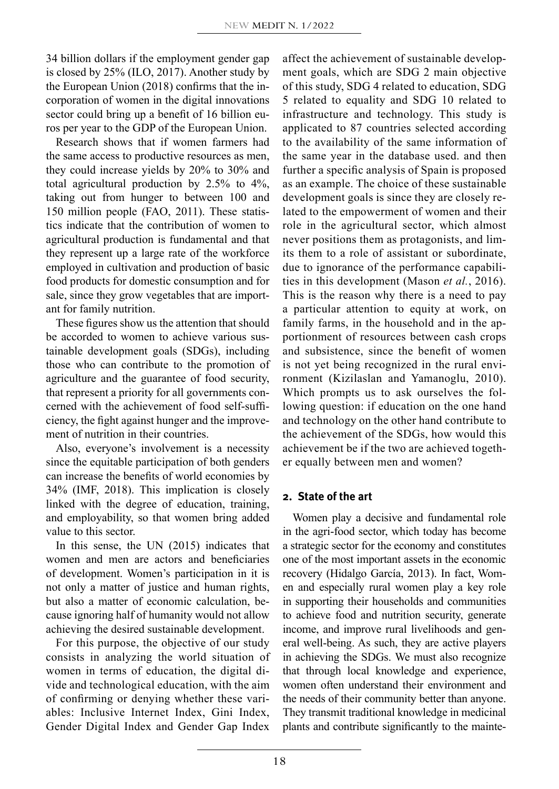34 billion dollars if the employment gender gap is closed by 25% (ILO, 2017). Another study by the European Union (2018) confirms that the incorporation of women in the digital innovations sector could bring up a benefit of 16 billion euros per year to the GDP of the European Union.

Research shows that if women farmers had the same access to productive resources as men, they could increase yields by 20% to 30% and total agricultural production by 2.5% to 4%, taking out from hunger to between 100 and 150 million people (FAO, 2011). These statistics indicate that the contribution of women to agricultural production is fundamental and that they represent up a large rate of the workforce employed in cultivation and production of basic food products for domestic consumption and for sale, since they grow vegetables that are important for family nutrition.

These figures show us the attention that should be accorded to women to achieve various sustainable development goals (SDGs), including those who can contribute to the promotion of agriculture and the guarantee of food security, that represent a priority for all governments concerned with the achievement of food self-sufficiency, the fight against hunger and the improvement of nutrition in their countries.

Also, everyone's involvement is a necessity since the equitable participation of both genders can increase the benefits of world economies by 34% (IMF, 2018). This implication is closely linked with the degree of education, training, and employability, so that women bring added value to this sector.

In this sense, the UN (2015) indicates that women and men are actors and beneficiaries of development. Women's participation in it is not only a matter of justice and human rights, but also a matter of economic calculation, because ignoring half of humanity would not allow achieving the desired sustainable development.

For this purpose, the objective of our study consists in analyzing the world situation of women in terms of education, the digital divide and technological education, with the aim of confirming or denying whether these variables: Inclusive Internet Index, Gini Index, Gender Digital Index and Gender Gap Index

affect the achievement of sustainable development goals, which are SDG 2 main objective of this study, SDG 4 related to education, SDG 5 related to equality and SDG 10 related to infrastructure and technology. This study is applicated to 87 countries selected according to the availability of the same information of the same year in the database used. and then further a specific analysis of Spain is proposed as an example. The choice of these sustainable development goals is since they are closely related to the empowerment of women and their role in the agricultural sector, which almost never positions them as protagonists, and limits them to a role of assistant or subordinate, due to ignorance of the performance capabilities in this development (Mason *et al.*, 2016). This is the reason why there is a need to pay a particular attention to equity at work, on family farms, in the household and in the apportionment of resources between cash crops and subsistence, since the benefit of women is not yet being recognized in the rural environment (Kizilaslan and Yamanoglu, 2010). Which prompts us to ask ourselves the following question: if education on the one hand and technology on the other hand contribute to the achievement of the SDGs, how would this achievement be if the two are achieved together equally between men and women?

# **2. State of the art**

Women play a decisive and fundamental role in the agri-food sector, which today has become a strategic sector for the economy and constitutes one of the most important assets in the economic recovery (Hidalgo García, 2013). In fact, Women and especially rural women play a key role in supporting their households and communities to achieve food and nutrition security, generate income, and improve rural livelihoods and general well-being. As such, they are active players in achieving the SDGs. We must also recognize that through local knowledge and experience, women often understand their environment and the needs of their community better than anyone. They transmit traditional knowledge in medicinal plants and contribute significantly to the mainte-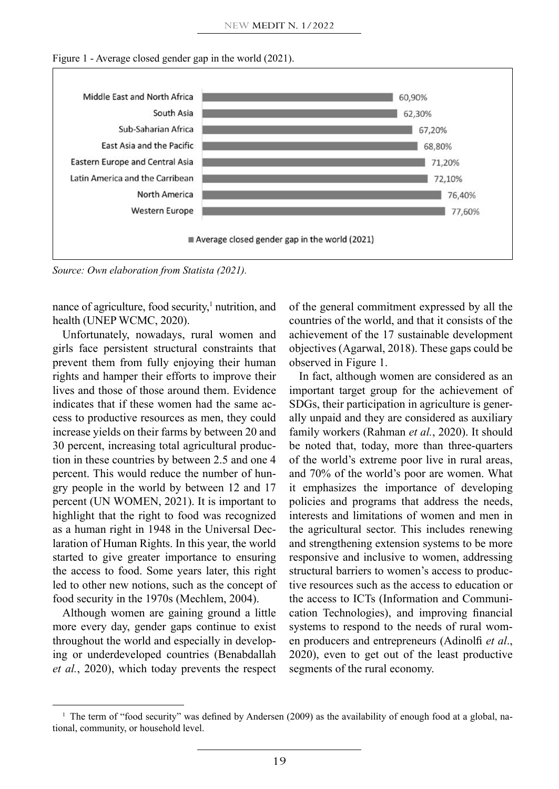



*Source: Own elaboration from Statista (2021).*

nance of agriculture, food security,<sup>1</sup> nutrition, and health (UNEP WCMC, 2020).

Unfortunately, nowadays, rural women and girls face persistent structural constraints that prevent them from fully enjoying their human rights and hamper their efforts to improve their lives and those of those around them. Evidence indicates that if these women had the same access to productive resources as men, they could increase yields on their farms by between 20 and 30 percent, increasing total agricultural production in these countries by between 2.5 and one 4 percent. This would reduce the number of hungry people in the world by between 12 and 17 percent (UN WOMEN, 2021). It is important to highlight that the right to food was recognized as a human right in 1948 in the Universal Declaration of Human Rights. In this year, the world started to give greater importance to ensuring the access to food. Some years later, this right led to other new notions, such as the concept of food security in the 1970s (Mechlem, 2004).

Although women are gaining ground a little more every day, gender gaps continue to exist throughout the world and especially in developing or underdeveloped countries (Benabdallah *et al.*, 2020), which today prevents the respect of the general commitment expressed by all the countries of the world, and that it consists of the achievement of the 17 sustainable development objectives (Agarwal, 2018). These gaps could be observed in Figure 1.

In fact, although women are considered as an important target group for the achievement of SDGs, their participation in agriculture is generally unpaid and they are considered as auxiliary family workers (Rahman *et al.*, 2020). It should be noted that, today, more than three-quarters of the world's extreme poor live in rural areas, and 70% of the world's poor are women. What it emphasizes the importance of developing policies and programs that address the needs, interests and limitations of women and men in the agricultural sector. This includes renewing and strengthening extension systems to be more responsive and inclusive to women, addressing structural barriers to women's access to productive resources such as the access to education or the access to ICTs (Information and Communication Technologies), and improving financial systems to respond to the needs of rural women producers and entrepreneurs (Adinolfi *et al*., 2020), even to get out of the least productive segments of the rural economy.

<sup>&</sup>lt;sup>1</sup> The term of "food security" was defined by Andersen (2009) as the availability of enough food at a global, national, community, or household level.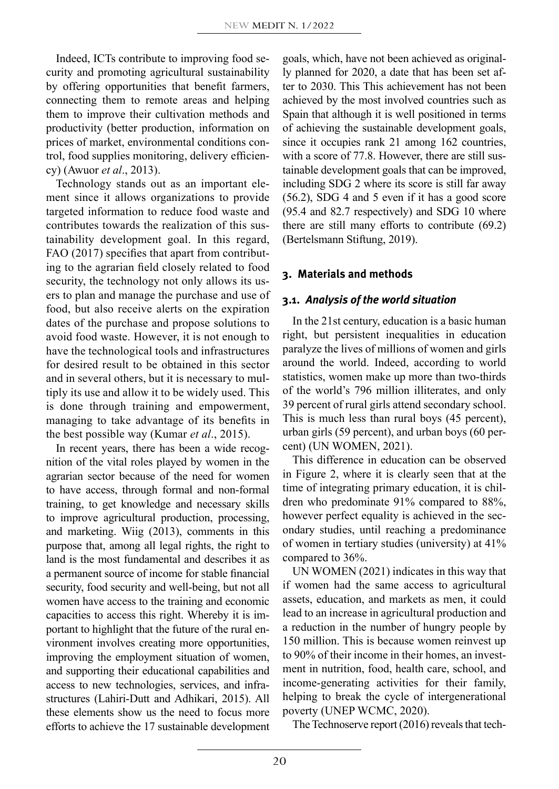Indeed, ICTs contribute to improving food security and promoting agricultural sustainability by offering opportunities that benefit farmers, connecting them to remote areas and helping them to improve their cultivation methods and productivity (better production, information on prices of market, environmental conditions control, food supplies monitoring, delivery efficiency) (Awuor *et al*., 2013).

Technology stands out as an important element since it allows organizations to provide targeted information to reduce food waste and contributes towards the realization of this sustainability development goal. In this regard, FAO (2017) specifies that apart from contributing to the agrarian field closely related to food security, the technology not only allows its users to plan and manage the purchase and use of food, but also receive alerts on the expiration dates of the purchase and propose solutions to avoid food waste. However, it is not enough to have the technological tools and infrastructures for desired result to be obtained in this sector and in several others, but it is necessary to multiply its use and allow it to be widely used. This is done through training and empowerment, managing to take advantage of its benefits in the best possible way (Kumar *et al*., 2015).

In recent years, there has been a wide recognition of the vital roles played by women in the agrarian sector because of the need for women to have access, through formal and non-formal training, to get knowledge and necessary skills to improve agricultural production, processing, and marketing. Wiig (2013), comments in this purpose that, among all legal rights, the right to land is the most fundamental and describes it as a permanent source of income for stable financial security, food security and well-being, but not all women have access to the training and economic capacities to access this right. Whereby it is important to highlight that the future of the rural environment involves creating more opportunities, improving the employment situation of women, and supporting their educational capabilities and access to new technologies, services, and infrastructures (Lahiri-Dutt and Adhikari, 2015). All these elements show us the need to focus more efforts to achieve the 17 sustainable development goals, which, have not been achieved as originally planned for 2020, a date that has been set after to 2030. This This achievement has not been achieved by the most involved countries such as Spain that although it is well positioned in terms of achieving the sustainable development goals, since it occupies rank 21 among 162 countries, with a score of 77.8. However, there are still sustainable development goals that can be improved, including SDG 2 where its score is still far away (56.2), SDG 4 and 5 even if it has a good score (95.4 and 82.7 respectively) and SDG 10 where there are still many efforts to contribute (69.2) (Bertelsmann Stiftung, 2019).

#### **3. Materials and methods**

#### **3.1.** *Analysis of the world situation*

In the 21st century, education is a basic human right, but persistent inequalities in education paralyze the lives of millions of women and girls around the world. Indeed, according to world statistics, women make up more than two-thirds of the world's 796 million illiterates, and only 39 percent of rural girls attend secondary school. This is much less than rural boys (45 percent), urban girls (59 percent), and urban boys (60 percent) (UN WOMEN, 2021).

This difference in education can be observed in Figure 2, where it is clearly seen that at the time of integrating primary education, it is children who predominate 91% compared to 88%, however perfect equality is achieved in the secondary studies, until reaching a predominance of women in tertiary studies (university) at 41% compared to 36%.

UN WOMEN (2021) indicates in this way that if women had the same access to agricultural assets, education, and markets as men, it could lead to an increase in agricultural production and a reduction in the number of hungry people by 150 million. This is because women reinvest up to 90% of their income in their homes, an investment in nutrition, food, health care, school, and income-generating activities for their family, helping to break the cycle of intergenerational poverty (UNEP WCMC, 2020).

The Technoserve report (2016) reveals that tech-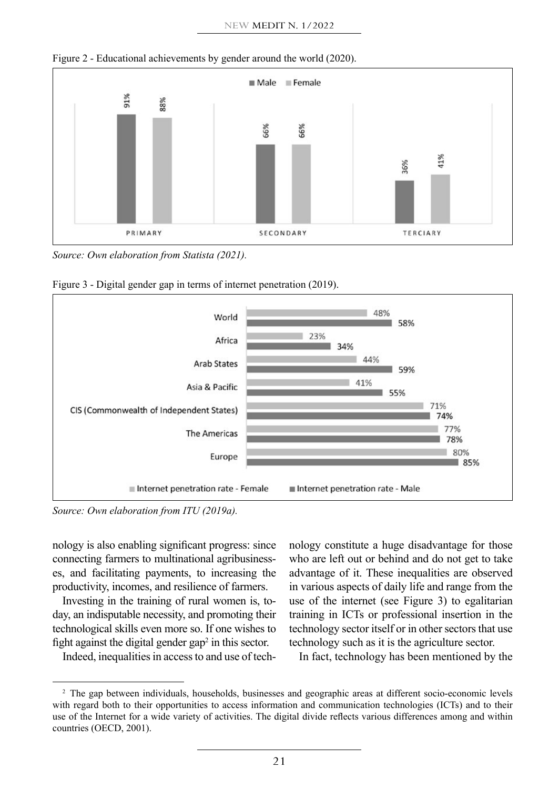



*Source: Own elaboration from Statista (2021).*





*Source: Own elaboration from ITU (2019a).*

nology is also enabling significant progress: since connecting farmers to multinational agribusinesses, and facilitating payments, to increasing the productivity, incomes, and resilience of farmers.

Investing in the training of rural women is, today, an indisputable necessity, and promoting their technological skills even more so. If one wishes to fight against the digital gender gap<sup>2</sup> in this sector.

Indeed, inequalities in access to and use of tech-

nology constitute a huge disadvantage for those who are left out or behind and do not get to take advantage of it. These inequalities are observed in various aspects of daily life and range from the use of the internet (see Figure 3) to egalitarian training in ICTs or professional insertion in the technology sector itself or in other sectors that use technology such as it is the agriculture sector.

In fact, technology has been mentioned by the

<sup>2</sup> The gap between individuals, households, businesses and geographic areas at different socio-economic levels with regard both to their opportunities to access information and communication technologies (ICTs) and to their use of the Internet for a wide variety of activities. The digital divide reflects various differences among and within countries (OECD, 2001).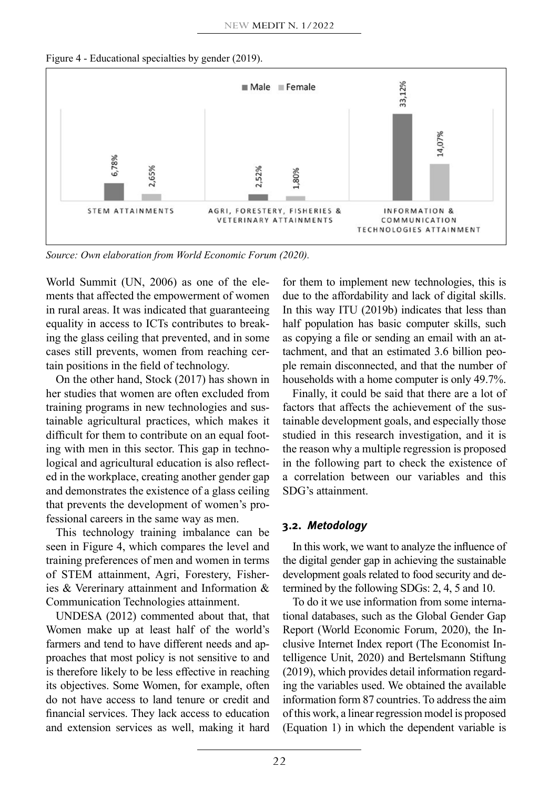Figure 4 - Educational specialties by gender (2019).



*Source: Own elaboration from World Economic Forum (2020).*

World Summit (UN, 2006) as one of the elements that affected the empowerment of women in rural areas. It was indicated that guaranteeing equality in access to ICTs contributes to breaking the glass ceiling that prevented, and in some cases still prevents, women from reaching certain positions in the field of technology.

On the other hand, Stock (2017) has shown in her studies that women are often excluded from training programs in new technologies and sustainable agricultural practices, which makes it difficult for them to contribute on an equal footing with men in this sector. This gap in technological and agricultural education is also reflected in the workplace, creating another gender gap and demonstrates the existence of a glass ceiling that prevents the development of women's professional careers in the same way as men.

This technology training imbalance can be seen in Figure 4, which compares the level and training preferences of men and women in terms of STEM attainment, Agri, Forestery, Fisheries & Vererinary attainment and Information & Communication Technologies attainment.

UNDESA (2012) commented about that, that Women make up at least half of the world's farmers and tend to have different needs and approaches that most policy is not sensitive to and is therefore likely to be less effective in reaching its objectives. Some Women, for example, often do not have access to land tenure or credit and financial services. They lack access to education and extension services as well, making it hard for them to implement new technologies, this is due to the affordability and lack of digital skills. In this way ITU (2019b) indicates that less than half population has basic computer skills, such as copying a file or sending an email with an attachment, and that an estimated 3.6 billion people remain disconnected, and that the number of households with a home computer is only 49.7%.

Finally, it could be said that there are a lot of factors that affects the achievement of the sustainable development goals, and especially those studied in this research investigation, and it is the reason why a multiple regression is proposed in the following part to check the existence of a correlation between our variables and this SDG's attainment.

## **3.2.** *Metodology*

In this work, we want to analyze the influence of the digital gender gap in achieving the sustainable development goals related to food security and determined by the following SDGs: 2, 4, 5 and 10.

To do it we use information from some international databases, such as the Global Gender Gap Report (World Economic Forum, 2020), the Inclusive Internet Index report (The Economist Intelligence Unit, 2020) and Bertelsmann Stiftung (2019), which provides detail information regarding the variables used. We obtained the available information form 87 countries. To address the aim of this work, a linear regression model is proposed (Equation 1) in which the dependent variable is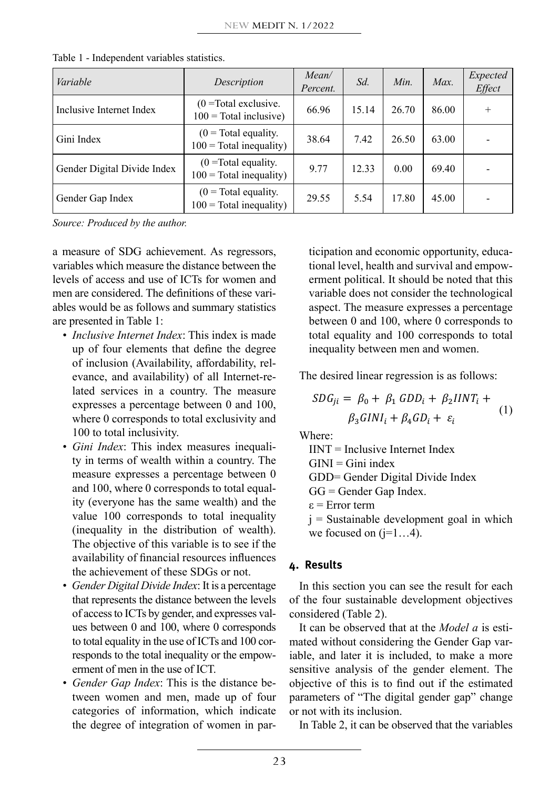| Variable                    | Description                                                 | Mean/<br>Percent. | Sd.   | Min.  | Max.  | Expected<br>Effect |
|-----------------------------|-------------------------------------------------------------|-------------------|-------|-------|-------|--------------------|
| Inclusive Internet Index    | $(0 = Total exclusive)$ .<br>$100 = \text{Total inclusive}$ | 66.96             | 15.14 | 26.70 | 86.00 | $+$                |
| Gini Index                  | $(0 = Total equality)$ .<br>$100 = \text{Total inequality}$ | 38.64             | 7.42  | 26.50 | 63.00 |                    |
| Gender Digital Divide Index | $(0 = Total equality)$<br>$100 = \text{Total inequality}$   | 9.77              | 12.33 | 0.00  | 69.40 |                    |
| Gender Gap Index            | $(0 = Total equality)$ .<br>$100 = \text{Total inequality}$ | 29.55             | 5.54  | 17.80 | 45.00 |                    |

Table 1 - Independent variables statistics.

*Source: Produced by the author.*

a measure of SDG achievement. As regressors, variables which measure the distance between the levels of access and use of ICTs for women and men are considered. The definitions of these variables would be as follows and summary statistics are presented in Table 1:

- *• Inclusive Internet Index*: This index is made up of four elements that define the degree of inclusion (Availability, affordability, relevance, and availability) of all Internet-related services in a country. The measure expresses a percentage between 0 and 100, where 0 corresponds to total exclusivity and  $\beta_3 GINI_i + \beta_4 GD_i + \varepsilon_i$ 100 to total inclusivity.
- *• Gini Index*: This index measures inequality in terms of wealth within a country. The measure expresses a percentage between 0 and 100, where 0 corresponds to total equality (everyone has the same wealth) and the value 100 corresponds to total inequality (inequality in the distribution of wealth). The objective of this variable is to see if the availability of financial resources influences the achievement of these SDGs or not.
- *• Gender Digital Divide Index*: It is a percentage that represents the distance between the levels of access to ICTs by gender, and expresses values between 0 and 100, where 0 corresponds to total equality in the use of ICTs and 100 corresponds to the total inequality or the empowerment of men in the use of ICT.
- *• Gender Gap Index*: This is the distance between women and men, made up of four categories of information, which indicate the degree of integration of women in par-

ticipation and economic opportunity, educational level, health and survival and empowerment political. It should be noted that this variable does not consider the technological aspect. The measure expresses a percentage between 0 and 100, where 0 corresponds to total equality and 100 corresponds to total inequality between men and women.

The desired linear regression is as follows:

$$
SDG_{ji} = \beta_0 + \beta_1 \text{ GDD}_i + \beta_2 \text{IINT}_i +
$$
  

$$
\beta_2 \text{ GINI}_i + \beta_4 \text{ GD}_i + \varepsilon_i \tag{1}
$$

Where:

 $IINT = Inclusive Internet Index$  $GINI = Gini$  index GDD= Gender Digital Divide Index GG = Gender Gap Index. ε = Error term  $j$  = Sustainable development goal in which we focused on  $(i=1...4)$ .

# **4. Results**

In this section you can see the result for each of the four sustainable development objectives considered (Table 2).

It can be observed that at the *Model a* is estimated without considering the Gender Gap variable, and later it is included, to make a more sensitive analysis of the gender element. The objective of this is to find out if the estimated parameters of "The digital gender gap" change or not with its inclusion.

In Table 2, it can be observed that the variables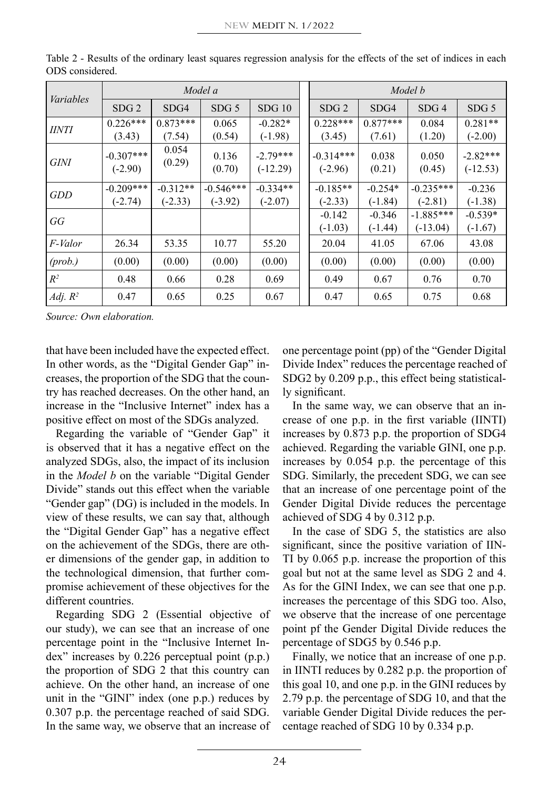| Variables    |                  |                 | Model a          |            | Model b          |            |                  |                  |  |  |
|--------------|------------------|-----------------|------------------|------------|------------------|------------|------------------|------------------|--|--|
|              | SDG <sub>2</sub> | SDG4            | SDG <sub>5</sub> | SDG10      | SDG <sub>2</sub> | SDG4       | SDG <sub>4</sub> | SDG <sub>5</sub> |  |  |
| <i>IINTI</i> | $0.226***$       | $0.873***$      | 0.065            | $-0.282*$  | $0.228***$       | $0.877***$ | 0.084            | $0.281**$        |  |  |
|              | (3.43)           | (7.54)          | (0.54)           | $(-1.98)$  | (3.45)           | (7.61)     | (1.20)           | $(-2.00)$        |  |  |
| GINI         | $-0.307***$      | 0.054<br>(0.29) | 0.136            | $-2.79***$ | $-0.314***$      | 0.038      | 0.050            | $-2.82***$       |  |  |
|              | $(-2.90)$        |                 | (0.70)           | $(-12.29)$ | $(-2.96)$        | (0.21)     | (0.45)           | $(-12.53)$       |  |  |
| GDD          | $-0.209***$      | $-0.312**$      | $-0.546***$      | $-0.334**$ | $-0.185**$       | $-0.254*$  | $-0.235***$      | $-0.236$         |  |  |
|              | $(-2.74)$        | $(-2.33)$       | $(-3.92)$        | $(-2.07)$  | $(-2.33)$        | $(-1.84)$  | $(-2.81)$        | $(-1.38)$        |  |  |
| GG           |                  |                 |                  |            | $-0.142$         | $-0.346$   | $-1.885***$      | $-0.539*$        |  |  |
|              |                  |                 |                  |            | $(-1.03)$        | $(-1.44)$  | $(-13.04)$       | $(-1.67)$        |  |  |
| F-Valor      | 26.34            | 53.35           | 10.77            | 55.20      | 20.04            | 41.05      | 67.06            | 43.08            |  |  |
| $(prob.)$    | (0.00)           | (0.00)          | (0.00)           | (0.00)     | (0.00)           | (0.00)     | (0.00)           | (0.00)           |  |  |
| $R^2$        | 0.48             | 0.66            | 0.28             | 0.69       | 0.49             | 0.67       | 0.76             | 0.70             |  |  |
| Adj. $R^2$   | 0.47             | 0.65            | 0.25             | 0.67       | 0.47             | 0.65       | 0.75             | 0.68             |  |  |

Table 2 - Results of the ordinary least squares regression analysis for the effects of the set of indices in each ODS considered.

*Source: Own elaboration.*

that have been included have the expected effect. In other words, as the "Digital Gender Gap" increases, the proportion of the SDG that the country has reached decreases. On the other hand, an increase in the "Inclusive Internet" index has a positive effect on most of the SDGs analyzed.

Regarding the variable of "Gender Gap" it is observed that it has a negative effect on the analyzed SDGs, also, the impact of its inclusion in the *Model b* on the variable "Digital Gender Divide" stands out this effect when the variable "Gender gap" (DG) is included in the models. In view of these results, we can say that, although the "Digital Gender Gap" has a negative effect on the achievement of the SDGs, there are other dimensions of the gender gap, in addition to the technological dimension, that further compromise achievement of these objectives for the different countries.

Regarding SDG 2 (Essential objective of our study), we can see that an increase of one percentage point in the "Inclusive Internet Index" increases by 0.226 perceptual point (p.p.) the proportion of SDG 2 that this country can achieve. On the other hand, an increase of one unit in the "GINI" index (one p.p.) reduces by 0.307 p.p. the percentage reached of said SDG. In the same way, we observe that an increase of one percentage point (pp) of the "Gender Digital Divide Index" reduces the percentage reached of SDG2 by 0.209 p.p., this effect being statistically significant.

In the same way, we can observe that an increase of one p.p. in the first variable (IINTI) increases by 0.873 p.p. the proportion of SDG4 achieved. Regarding the variable GINI, one p.p. increases by 0.054 p.p. the percentage of this SDG. Similarly, the precedent SDG, we can see that an increase of one percentage point of the Gender Digital Divide reduces the percentage achieved of SDG 4 by 0.312 p.p.

In the case of SDG 5, the statistics are also significant, since the positive variation of IIN-TI by 0.065 p.p. increase the proportion of this goal but not at the same level as SDG 2 and 4. As for the GINI Index, we can see that one p.p. increases the percentage of this SDG too. Also, we observe that the increase of one percentage point pf the Gender Digital Divide reduces the percentage of SDG5 by 0.546 p.p.

Finally, we notice that an increase of one p.p. in IINTI reduces by 0.282 p.p. the proportion of this goal 10, and one p.p. in the GINI reduces by 2.79 p.p. the percentage of SDG 10, and that the variable Gender Digital Divide reduces the percentage reached of SDG 10 by 0.334 p.p.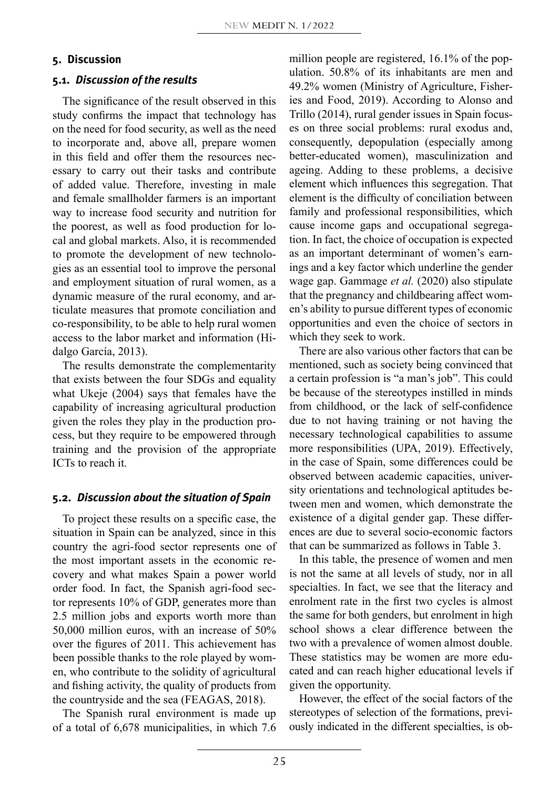# **5. Discussion**

## **5.1.** *Discussion of the results*

The significance of the result observed in this study confirms the impact that technology has on the need for food security, as well as the need to incorporate and, above all, prepare women in this field and offer them the resources necessary to carry out their tasks and contribute of added value. Therefore, investing in male and female smallholder farmers is an important way to increase food security and nutrition for the poorest, as well as food production for local and global markets. Also, it is recommended to promote the development of new technologies as an essential tool to improve the personal and employment situation of rural women, as a dynamic measure of the rural economy, and articulate measures that promote conciliation and co-responsibility, to be able to help rural women access to the labor market and information (Hidalgo García, 2013).

The results demonstrate the complementarity that exists between the four SDGs and equality what Ukeje (2004) says that females have the capability of increasing agricultural production given the roles they play in the production process, but they require to be empowered through training and the provision of the appropriate ICTs to reach it.

## **5.2.** *Discussion about the situation of Spain*

To project these results on a specific case, the situation in Spain can be analyzed, since in this country the agri-food sector represents one of the most important assets in the economic recovery and what makes Spain a power world order food. In fact, the Spanish agri-food sector represents 10% of GDP, generates more than 2.5 million jobs and exports worth more than 50,000 million euros, with an increase of 50% over the figures of 2011. This achievement has been possible thanks to the role played by women, who contribute to the solidity of agricultural and fishing activity, the quality of products from the countryside and the sea (FEAGAS, 2018).

The Spanish rural environment is made up of a total of 6,678 municipalities, in which 7.6 million people are registered, 16.1% of the population. 50.8% of its inhabitants are men and 49.2% women (Ministry of Agriculture, Fisheries and Food, 2019). According to Alonso and Trillo (2014), rural gender issues in Spain focuses on three social problems: rural exodus and, consequently, depopulation (especially among better-educated women), masculinization and ageing. Adding to these problems, a decisive element which influences this segregation. That element is the difficulty of conciliation between family and professional responsibilities, which cause income gaps and occupational segregation. In fact, the choice of occupation is expected as an important determinant of women's earnings and a key factor which underline the gender wage gap. Gammage *et al.* (2020) also stipulate that the pregnancy and childbearing affect women's ability to pursue different types of economic opportunities and even the choice of sectors in which they seek to work.

There are also various other factors that can be mentioned, such as society being convinced that a certain profession is "a man's job". This could be because of the stereotypes instilled in minds from childhood, or the lack of self-confidence due to not having training or not having the necessary technological capabilities to assume more responsibilities (UPA, 2019). Effectively, in the case of Spain, some differences could be observed between academic capacities, university orientations and technological aptitudes between men and women, which demonstrate the existence of a digital gender gap. These differences are due to several socio-economic factors that can be summarized as follows in Table 3.

In this table, the presence of women and men is not the same at all levels of study, nor in all specialties. In fact, we see that the literacy and enrolment rate in the first two cycles is almost the same for both genders, but enrolment in high school shows a clear difference between the two with a prevalence of women almost double. These statistics may be women are more educated and can reach higher educational levels if given the opportunity.

However, the effect of the social factors of the stereotypes of selection of the formations, previously indicated in the different specialties, is ob-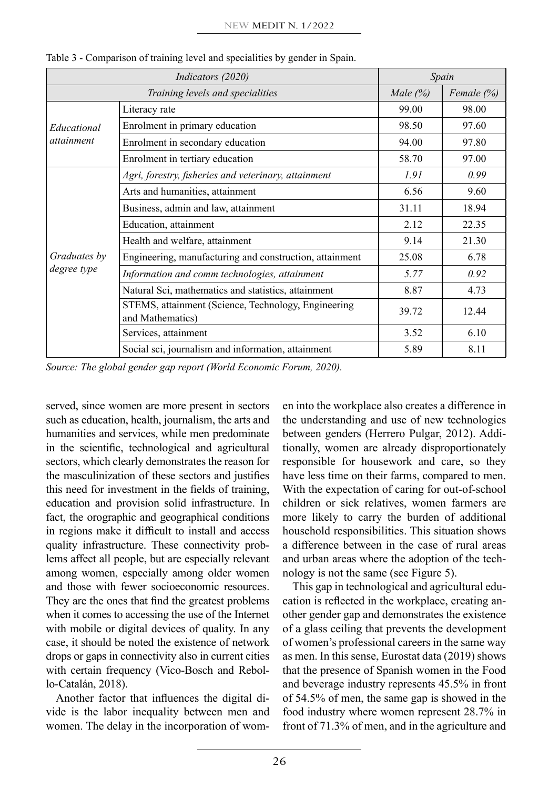|                             | Spain                                                                   |            |       |
|-----------------------------|-------------------------------------------------------------------------|------------|-------|
|                             | Male $(%)$                                                              | Female (%) |       |
| Educational                 | Literacy rate                                                           | 99.00      | 98.00 |
|                             | Enrolment in primary education                                          | 98.50      | 97.60 |
| <i>attainment</i>           | Enrolment in secondary education                                        | 94.00      | 97.80 |
|                             | Enrolment in tertiary education                                         | 58.70      | 97.00 |
|                             | Agri, forestry, fisheries and veterinary, attainment                    | 1.91       | 0.99  |
| Graduates by<br>degree type | Arts and humanities, attainment                                         | 6.56       | 9.60  |
|                             | Business, admin and law, attainment                                     | 31.11      | 18.94 |
|                             | Education, attainment                                                   | 2.12       | 22.35 |
|                             | Health and welfare, attainment                                          | 9.14       | 21.30 |
|                             | Engineering, manufacturing and construction, attainment                 | 25.08      | 6.78  |
|                             | Information and comm technologies, attainment                           | 5.77       | 0.92  |
|                             | Natural Sci, mathematics and statistics, attainment                     | 8.87       | 4.73  |
|                             | STEMS, attainment (Science, Technology, Engineering<br>and Mathematics) | 39.72      | 12.44 |
|                             | Services, attainment                                                    | 3.52       | 6.10  |
|                             | Social sci, journalism and information, attainment                      | 5.89       | 8.11  |

Table 3 - Comparison of training level and specialities by gender in Spain.

*Source: The global gender gap report (World Economic Forum, 2020).*

served, since women are more present in sectors such as education, health, journalism, the arts and humanities and services, while men predominate in the scientific, technological and agricultural sectors, which clearly demonstrates the reason for the masculinization of these sectors and justifies this need for investment in the fields of training, education and provision solid infrastructure. In fact, the orographic and geographical conditions in regions make it difficult to install and access quality infrastructure. These connectivity problems affect all people, but are especially relevant among women, especially among older women and those with fewer socioeconomic resources. They are the ones that find the greatest problems when it comes to accessing the use of the Internet with mobile or digital devices of quality. In any case, it should be noted the existence of network drops or gaps in connectivity also in current cities with certain frequency (Vico-Bosch and Rebollo-Catalán, 2018).

Another factor that influences the digital divide is the labor inequality between men and women. The delay in the incorporation of women into the workplace also creates a difference in the understanding and use of new technologies between genders (Herrero Pulgar, 2012). Additionally, women are already disproportionately responsible for housework and care, so they have less time on their farms, compared to men. With the expectation of caring for out-of-school children or sick relatives, women farmers are more likely to carry the burden of additional household responsibilities. This situation shows a difference between in the case of rural areas and urban areas where the adoption of the technology is not the same (see Figure 5).

This gap in technological and agricultural education is reflected in the workplace, creating another gender gap and demonstrates the existence of a glass ceiling that prevents the development of women's professional careers in the same way as men. In this sense, Eurostat data (2019) shows that the presence of Spanish women in the Food and beverage industry represents 45.5% in front of 54.5% of men, the same gap is showed in the food industry where women represent 28.7% in front of 71.3% of men, and in the agriculture and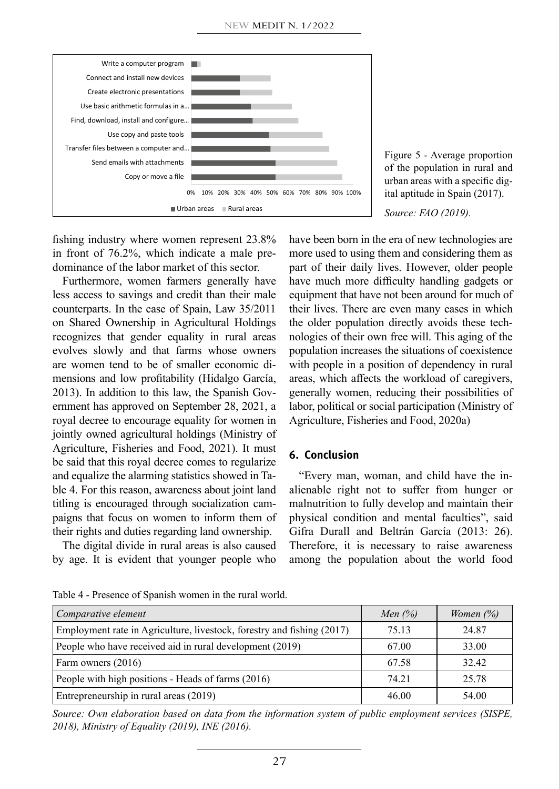

Figure 5 - Average proportion of the population in rural and urban areas with a specific digital aptitude in Spain (2017).

*Source: FAO (2019).*

fishing industry where women represent 23.8% in front of 76.2%, which indicate a male predominance of the labor market of this sector.

Furthermore, women farmers generally have less access to savings and credit than their male counterparts. In the case of Spain, Law 35/2011 on Shared Ownership in Agricultural Holdings recognizes that gender equality in rural areas evolves slowly and that farms whose owners are women tend to be of smaller economic dimensions and low profitability (Hidalgo García, 2013). In addition to this law, the Spanish Government has approved on September 28, 2021, a royal decree to encourage equality for women in jointly owned agricultural holdings (Ministry of Agriculture, Fisheries and Food, 2021). It must be said that this royal decree comes to regularize and equalize the alarming statistics showed in Table 4. For this reason, awareness about joint land titling is encouraged through socialization campaigns that focus on women to inform them of their rights and duties regarding land ownership.

The digital divide in rural areas is also caused by age. It is evident that younger people who have been born in the era of new technologies are more used to using them and considering them as part of their daily lives. However, older people have much more difficulty handling gadgets or equipment that have not been around for much of their lives. There are even many cases in which the older population directly avoids these technologies of their own free will. This aging of the population increases the situations of coexistence with people in a position of dependency in rural areas, which affects the workload of caregivers, generally women, reducing their possibilities of labor, political or social participation (Ministry of Agriculture, Fisheries and Food, 2020a)

## **6. Conclusion**

"Every man, woman, and child have the inalienable right not to suffer from hunger or malnutrition to fully develop and maintain their physical condition and mental faculties", said Gifra Durall and Beltrán García (2013: 26). Therefore, it is necessary to raise awareness among the population about the world food

| Table 4 - Presence of Spanish women in the rural world. |  |  |  |  |
|---------------------------------------------------------|--|--|--|--|
|                                                         |  |  |  |  |

| Comparative element                                                    | Men $(%$ | Women $(\%)$ |
|------------------------------------------------------------------------|----------|--------------|
| Employment rate in Agriculture, livestock, forestry and fishing (2017) | 75.13    | 24.87        |
| People who have received aid in rural development (2019)               | 67.00    | 33.00        |
| Farm owners (2016)                                                     | 67.58    | 32.42        |
| People with high positions - Heads of farms (2016)                     | 74.21    | 25.78        |
| Entrepreneurship in rural areas (2019)                                 | 46.00    | 54.00        |

*Source: Own elaboration based on data from the information system of public employment services (SISPE, 2018), Ministry of Equality (2019), INE (2016).*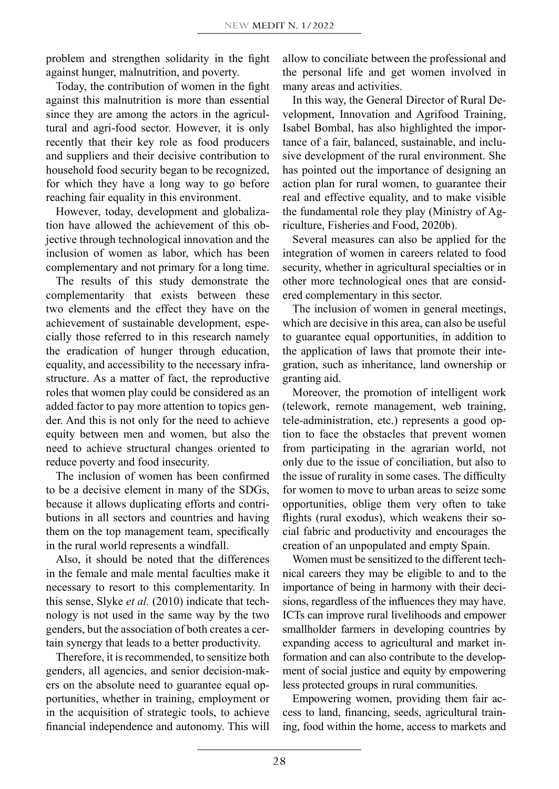problem and strengthen solidarity in the fight against hunger, malnutrition, and poverty.

Today, the contribution of women in the fight against this malnutrition is more than essential since they are among the actors in the agricultural and agri-food sector. However, it is only recently that their key role as food producers and suppliers and their decisive contribution to household food security began to be recognized, for which they have a long way to go before reaching fair equality in this environment.

However, today, development and globalization have allowed the achievement of this objective through technological innovation and the inclusion of women as labor, which has been complementary and not primary for a long time.

The results of this study demonstrate the complementarity that exists between these two elements and the effect they have on the achievement of sustainable development, especially those referred to in this research namely the eradication of hunger through education, equality, and accessibility to the necessary infrastructure. As a matter of fact, the reproductive roles that women play could be considered as an added factor to pay more attention to topics gender. And this is not only for the need to achieve equity between men and women, but also the need to achieve structural changes oriented to reduce poverty and food insecurity.

The inclusion of women has been confirmed to be a decisive element in many of the SDGs, because it allows duplicating efforts and contributions in all sectors and countries and having them on the top management team, specifically in the rural world represents a windfall.

Also, it should be noted that the differences in the female and male mental faculties make it necessary to resort to this complementarity. In this sense, Slyke *et al.* (2010) indicate that technology is not used in the same way by the two genders, but the association of both creates a certain synergy that leads to a better productivity.

Therefore, it is recommended, to sensitize both genders, all agencies, and senior decision-makers on the absolute need to guarantee equal opportunities, whether in training, employment or in the acquisition of strategic tools, to achieve financial independence and autonomy. This will allow to conciliate between the professional and the personal life and get women involved in many areas and activities.

In this way, the General Director of Rural Development, Innovation and Agrifood Training, Isabel Bombal, has also highlighted the importance of a fair, balanced, sustainable, and inclusive development of the rural environment. She has pointed out the importance of designing an action plan for rural women, to guarantee their real and effective equality, and to make visible the fundamental role they play (Ministry of Agriculture, Fisheries and Food, 2020b).

Several measures can also be applied for the integration of women in careers related to food security, whether in agricultural specialties or in other more technological ones that are considered complementary in this sector.

The inclusion of women in general meetings, which are decisive in this area, can also be useful to guarantee equal opportunities, in addition to the application of laws that promote their integration, such as inheritance, land ownership or granting aid.

Moreover, the promotion of intelligent work (telework, remote management, web training, tele-administration, etc.) represents a good option to face the obstacles that prevent women from participating in the agrarian world, not only due to the issue of conciliation, but also to the issue of rurality in some cases. The difficulty for women to move to urban areas to seize some opportunities, oblige them very often to take flights (rural exodus), which weakens their social fabric and productivity and encourages the creation of an unpopulated and empty Spain.

Women must be sensitized to the different technical careers they may be eligible to and to the importance of being in harmony with their decisions, regardless of the influences they may have. ICTs can improve rural livelihoods and empower smallholder farmers in developing countries by expanding access to agricultural and market information and can also contribute to the development of social justice and equity by empowering less protected groups in rural communities.

Empowering women, providing them fair access to land, financing, seeds, agricultural training, food within the home, access to markets and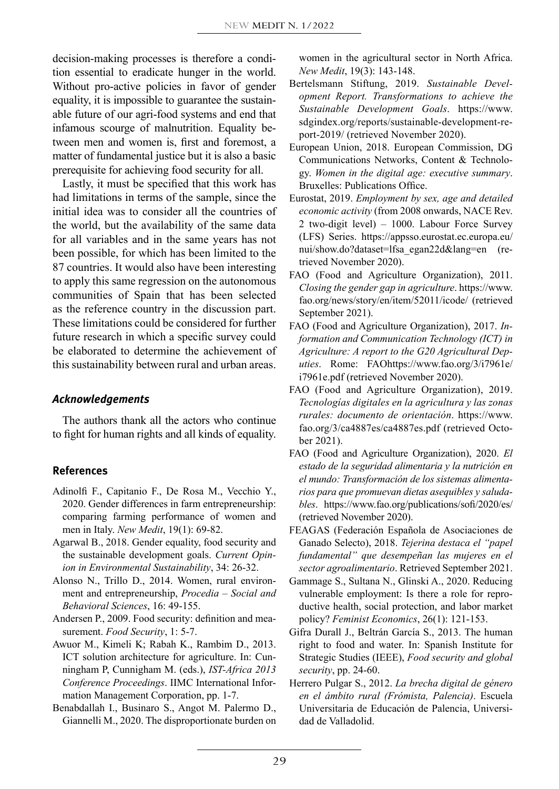decision-making processes is therefore a condition essential to eradicate hunger in the world. Without pro-active policies in favor of gender equality, it is impossible to guarantee the sustainable future of our agri-food systems and end that infamous scourge of malnutrition. Equality between men and women is, first and foremost, a matter of fundamental justice but it is also a basic prerequisite for achieving food security for all.

Lastly, it must be specified that this work has had limitations in terms of the sample, since the initial idea was to consider all the countries of the world, but the availability of the same data for all variables and in the same years has not been possible, for which has been limited to the 87 countries. It would also have been interesting to apply this same regression on the autonomous communities of Spain that has been selected as the reference country in the discussion part. These limitations could be considered for further future research in which a specific survey could be elaborated to determine the achievement of this sustainability between rural and urban areas.

# *Acknowledgements*

The authors thank all the actors who continue to fight for human rights and all kinds of equality.

# **References**

- Adinolfi F., Capitanio F., De Rosa M., Vecchio Y., 2020. Gender differences in farm entrepreneurship: comparing farming performance of women and men in Italy. *New Medit*, 19(1): 69-82.
- Agarwal B., 2018. Gender equality, food security and the sustainable development goals. *[Current Opin](https://www.sciencedirect.com/science/journal/18773435)[ion in Environmental Sustainability](https://www.sciencedirect.com/science/journal/18773435)*, [34](https://www.sciencedirect.com/science/journal/18773435/34/supp/C): 26-32.
- Alonso N., Trillo D., 2014. Women, rural environment and entrepreneurship, *Procedia – Social and Behavioral Sciences*, 16: 49-155.
- Andersen P., 2009. Food security: definition and measurement. *Food Security*, 1: 5-7.
- Awuor M., Kimeli K; Rabah K., Rambim D., 2013. ICT solution architecture for agriculture. In: Cunningham P, Cunnigham M. (eds.), *IST-Africa 2013 Conference Proceedings*. IIMC International Information Management Corporation, pp. 1-7.
- Benabdallah I., Businaro S., Angot M. Palermo D., Giannelli M., 2020. The disproportionate burden on

women in the agricultural sector in North Africa. *New Medit*, 19(3): 143-148.

- Bertelsmann Stiftung, 2019. *Sustainable Development Report. Transformations to achieve the Sustainable Development Goals*. https://www. sdgindex.org/reports/sustainable-development-report-2019/ (retrieved November 2020).
- European Union, 2018. European Commission, DG Communications Networks, Content & Technology. *Women in the digital age: executive summary*. Bruxelles: Publications Office.
- Eurostat, 2019. *Employment by sex, age and detailed economic activity* (from 2008 onwards, NACE Rev. 2 two-digit level) – 1000. Labour Force Survey (LFS) Series. https://appsso.eurostat.ec.europa.eu/ nui/show.do?dataset=lfsa\_egan22d&lang=en (retrieved November 2020).
- FAO (Food and Agriculture Organization), 2011. *Closing the gender gap in agriculture*. https://www. fao.org/news/story/en/item/52011/icode/ (retrieved September 2021).
- FAO (Food and Agriculture Organization), 2017. *Information and Communication Technology (ICT) in Agriculture: A report to the G20 Agricultural Deputies*. Rome: FAOhttps://www.fao.org/3/i7961e/ i7961e.pdf (retrieved November 2020).
- FAO (Food and Agriculture Organization), 2019. *Tecnologías digitales en la agricultura y las zonas rurales: documento de orientación*. https://www. fao.org/3/ca4887es/ca4887es.pdf (retrieved October 2021).
- FAO (Food and Agriculture Organization), 2020. *El estado de la seguridad alimentaria y la nutrición en el mundo: Transformación de los sistemas alimentarios para que promuevan dietas asequibles y saludables*. https://www.fao.org/publications/sofi/2020/es/ (retrieved November 2020).
- FEAGAS (Federación Española de Asociaciones de Ganado Selecto), 2018. *Tejerina destaca el "papel fundamental" que desempeñan las mujeres en el sector agroalimentario*. Retrieved September 2021.
- Gammage S., Sultana N., Glinski A., 2020. Reducing vulnerable employment: Is there a role for reproductive health, social protection, and labor market policy? *Feminist Economics*, 26(1): 121-153.
- Gifra Durall J., Beltrán García S., 2013. The human right to food and water. In: Spanish Institute for Strategic Studies (IEEE), *Food security and global security*, pp. 24-60.
- Herrero Pulgar S., 2012. *La brecha digital de género en el ámbito rural (Frómista, Palencia)*. Escuela Universitaria de Educación de Palencia, Universidad de Valladolid.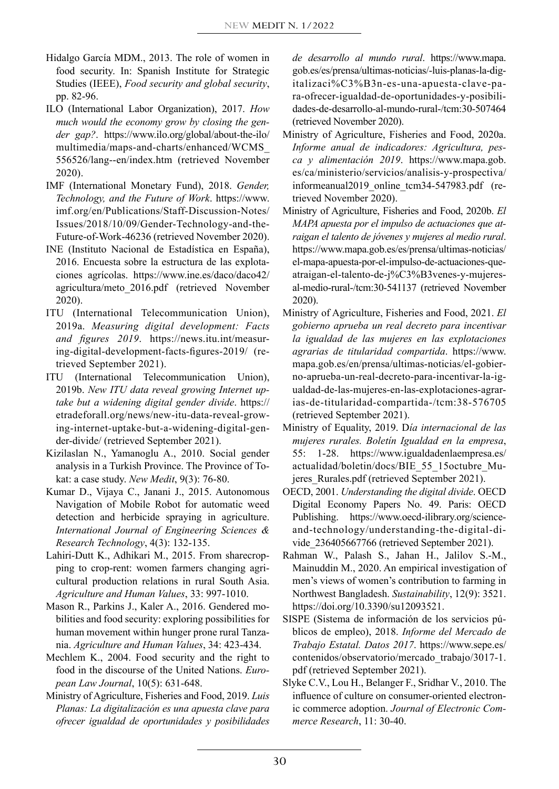- Hidalgo García MDM., 2013. The role of women in food security. In: Spanish Institute for Strategic Studies (IEEE), *Food security and global security*, pp. 82-96.
- ILO (International Labor Organization), 2017. *How much would the economy grow by closing the gender gap?*. https://www.ilo.org/global/about-the-ilo/ multimedia/maps-and-charts/enhanced/WCMS\_ 556526/lang--en/index.htm (retrieved November 2020).
- IMF (International Monetary Fund), 2018. *Gender, Technology, and the Future of Work*. https://www. imf.org/en/Publications/Staff-Discussion-Notes/ Issues/2018/10/09/Gender-Technology-and-the-Future-of-Work-46236 (retrieved November 2020).
- INE (Instituto Nacional de Estadística en España), 2016. Encuesta sobre la estructura de las explotaciones agrícolas. https://www.ine.es/daco/daco42/ agricultura/meto\_2016.pdf (retrieved November 2020).
- ITU (International Telecommunication Union), 2019a. *Measuring digital development: Facts and figures 2019*. https://news.itu.int/measuring-digital-development-facts-figures-2019/ (retrieved September 2021).
- ITU (International Telecommunication Union), 2019b. *New ITU data reveal growing Internet uptake but a widening digital gender divide*. https:// etradeforall.org/news/new-itu-data-reveal-growing-internet-uptake-but-a-widening-digital-gender-divide/ (retrieved September 2021).
- Kizilaslan N., Yamanoglu A., 2010. Social gender analysis in a Turkish Province. The Province of Tokat: a case study. *New Medit*, 9(3): 76-80.
- Kumar D., Vijaya C., Janani J., 2015. Autonomous Navigation of Mobile Robot for automatic weed detection and herbicide spraying in agriculture. *International Journal of Engineering Sciences & Research Technology*, 4(3): 132-135.
- Lahiri-Dutt K., Adhikari M., 2015. From sharecropping to crop-rent: women farmers changing agricultural production relations in rural South Asia. *Agriculture and Human Values*, 33: 997-1010.
- Mason R., Parkins J., Kaler A., 2016. Gendered mobilities and food security: exploring possibilities for human movement within hunger prone rural Tanzania. *Agriculture and Human Values*, 34: 423-434.
- Mechlem K., 2004. Food security and the right to food in the discourse of the United Nations. *European Law Journal*, 10(5): 631-648.
- Ministry of Agriculture, Fisheries and Food, 2019. *Luis Planas: La digitalización es una apuesta clave para ofrecer igualdad de oportunidades y posibilidades*

*de desarrollo al mundo rural*. https://www.mapa. gob.es/es/prensa/ultimas-noticias/-luis-planas-la-digitalizaci%C3%B3n-es-una-apuesta-clave-para-ofrecer-igualdad-de-oportunidades-y-posibilidades-de-desarrollo-al-mundo-rural-/tcm:30-507464 (retrieved November 2020).

- Ministry of Agriculture, Fisheries and Food, 2020a. *Informe anual de indicadores: Agricultura, pesca y alimentación 2019*. https://www.mapa.gob. es/ca/ministerio/servicios/analisis-y-prospectiva/ informeanual2019\_online\_tcm34-547983.pdf (retrieved November 2020).
- Ministry of Agriculture, Fisheries and Food, 2020b. *El MAPA apuesta por el impulso de actuaciones que atraigan el talento de jóvenes y mujeres al medio rural*. https://www.mapa.gob.es/es/prensa/ultimas-noticias/ el-mapa-apuesta-por-el-impulso-de-actuaciones-queatraigan-el-talento-de-j%C3%B3venes-y-mujeresal-medio-rural-/tcm:30-541137 (retrieved November 2020).
- Ministry of Agriculture, Fisheries and Food, 2021. *El gobierno aprueba un real decreto para incentivar la igualdad de las mujeres en las explotaciones agrarias de titularidad compartida*. https://www. mapa.gob.es/en/prensa/ultimas-noticias/el-gobierno-aprueba-un-real-decreto-para-incentivar-la-igualdad-de-las-mujeres-en-las-explotaciones-agrarias-de-titularidad-compartida-/tcm:38-576705 (retrieved September 2021).
- Ministry of Equality, 2019. D*ía internacional de las mujeres rurales. Boletín Igualdad en la empresa*, 55: 1-28. https://www.igualdadenlaempresa.es/ actualidad/boletin/docs/BIE\_55\_15octubre\_Mujeres\_Rurales.pdf (retrieved September 2021).
- OECD, 2001. *Understanding the digital divide*. OECD Digital Economy Papers No. 49. Paris: OECD Publishing. https://www.oecd-ilibrary.org/scienceand-technology/understanding-the-digital-divide\_236405667766 (retrieved September 2021).
- Rahman W., Palash S., Jahan H., Jalilov S.-M., [Mainuddin](https://sciprofiles.com/profile/495842) M., 2020. An empirical investigation of men's views of women's contribution to farming in Northwest Bangladesh. *Sustainability*, 12(9): 3521. https://doi.org/10.3390/su12093521.
- SISPE (Sistema de información de los servicios públicos de empleo), 2018. *Informe del Mercado de Trabajo Estatal. Datos 2017*. https://www.sepe.es/ contenidos/observatorio/mercado\_trabajo/3017-1. pdf (retrieved September 2021).
- Slyke C.V., Lou H., Belanger F., Sridhar V., 2010. The influence of culture on consumer-oriented electronic commerce adoption. *Journal of Electronic Commerce Research*, 11: 30-40.